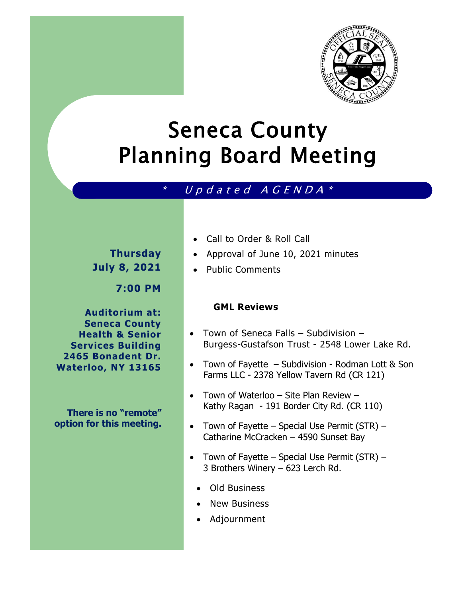

# Seneca County Planning Board Meeting

### \* U p d <sup>a</sup> <sup>t</sup> <sup>e</sup> d <sup>A</sup> G <sup>E</sup> <sup>N</sup> <sup>D</sup> <sup>A</sup> \*

## **Thursday July 8, 2021**

**7:00 PM**

**Auditorium at: Seneca County Health & Senior Services Building 2465 Bonadent Dr. Waterloo, NY 13165**

**There is no "remote" option for this meeting.** 

- Call to Order & Roll Call
- Approval of June 10, 2021 minutes
- Public Comments

#### **GML Reviews**

- Town of Seneca Falls Subdivision Burgess-Gustafson Trust - 2548 Lower Lake Rd.
- Town of Fayette Subdivision Rodman Lott & Son Farms LLC - 2378 Yellow Tavern Rd (CR 121)
- Town of Waterloo Site Plan Review Kathy Ragan - 191 Border City Rd. (CR 110)
- Town of Fayette Special Use Permit  $(STR)$  Catharine McCracken – 4590 Sunset Bay
- Town of Fayette Special Use Permit (STR) 3 Brothers Winery – 623 Lerch Rd.
	- Old Business
	- New Business
	- Adjournment